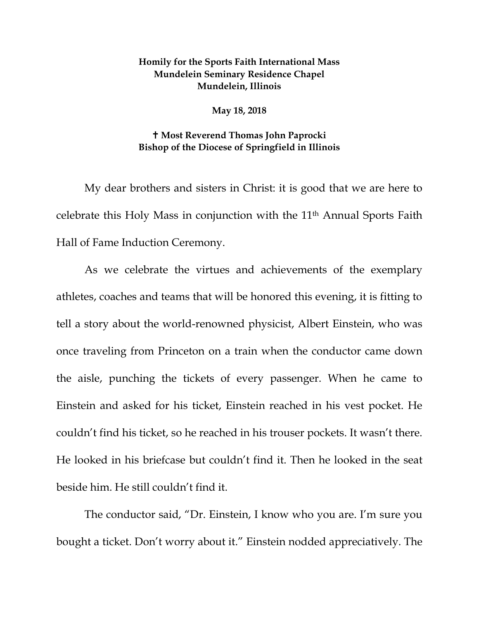## **Homily for the Sports Faith International Mass Mundelein Seminary Residence Chapel Mundelein, Illinois**

**May 18, 2018**

## **Most Reverend Thomas John Paprocki Bishop of the Diocese of Springfield in Illinois**

My dear brothers and sisters in Christ: it is good that we are here to celebrate this Holy Mass in conjunction with the 11th Annual Sports Faith Hall of Fame Induction Ceremony.

As we celebrate the virtues and achievements of the exemplary athletes, coaches and teams that will be honored this evening, it is fitting to tell a story about the world-renowned physicist, Albert Einstein, who was once traveling from Princeton on a train when the conductor came down the aisle, punching the tickets of every passenger. When he came to Einstein and asked for his ticket, Einstein reached in his vest pocket. He couldn't find his ticket, so he reached in his trouser pockets. It wasn't there. He looked in his briefcase but couldn't find it. Then he looked in the seat beside him. He still couldn't find it.

The conductor said, "Dr. Einstein, I know who you are. I'm sure you bought a ticket. Don't worry about it." Einstein nodded appreciatively. The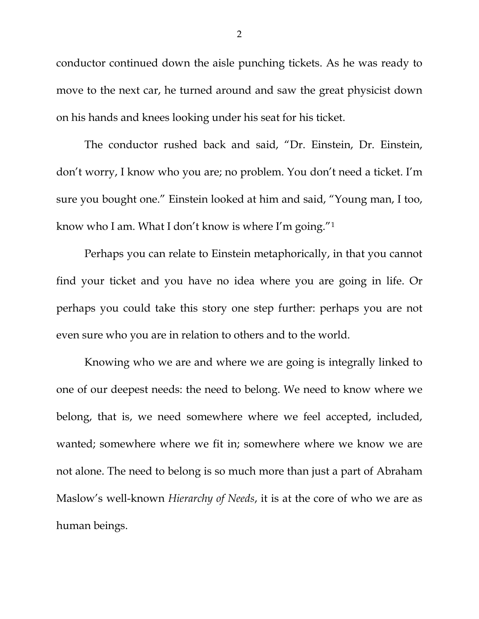conductor continued down the aisle punching tickets. As he was ready to move to the next car, he turned around and saw the great physicist down on his hands and knees looking under his seat for his ticket.

The conductor rushed back and said, "Dr. Einstein, Dr. Einstein, don't worry, I know who you are; no problem. You don't need a ticket. I'm sure you bought one." Einstein looked at him and said, "Young man, I too, know who I am. What I don't know is where I'm going.["1](#page-8-0)

Perhaps you can relate to Einstein metaphorically, in that you cannot find your ticket and you have no idea where you are going in life. Or perhaps you could take this story one step further: perhaps you are not even sure who you are in relation to others and to the world.

Knowing who we are and where we are going is integrally linked to one of our deepest needs: the need to belong. We need to know where we belong, that is, we need somewhere where we feel accepted, included, wanted; somewhere where we fit in; somewhere where we know we are not alone. The need to belong is so much more than just a part of Abraham Maslow's well-known *Hierarchy of Needs*, it is at the core of who we are as human beings.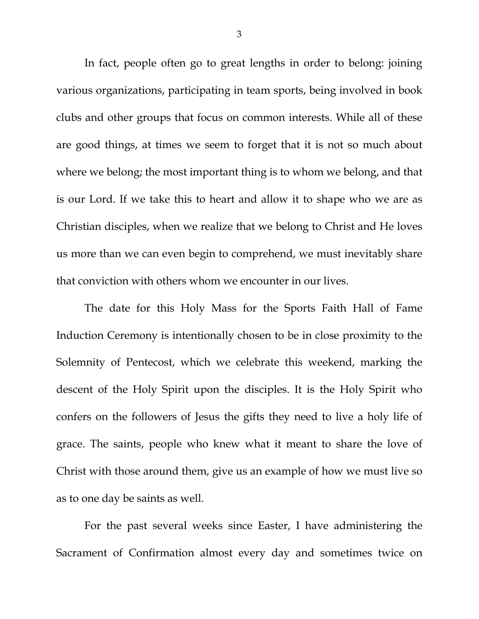In fact, people often go to great lengths in order to belong: joining various organizations, participating in team sports, being involved in book clubs and other groups that focus on common interests. While all of these are good things, at times we seem to forget that it is not so much about where we belong; the most important thing is to whom we belong, and that is our Lord. If we take this to heart and allow it to shape who we are as Christian disciples, when we realize that we belong to Christ and He loves us more than we can even begin to comprehend, we must inevitably share that conviction with others whom we encounter in our lives.

The date for this Holy Mass for the Sports Faith Hall of Fame Induction Ceremony is intentionally chosen to be in close proximity to the Solemnity of Pentecost, which we celebrate this weekend, marking the descent of the Holy Spirit upon the disciples. It is the Holy Spirit who confers on the followers of Jesus the gifts they need to live a holy life of grace. The saints, people who knew what it meant to share the love of Christ with those around them, give us an example of how we must live so as to one day be saints as well.

For the past several weeks since Easter, I have administering the Sacrament of Confirmation almost every day and sometimes twice on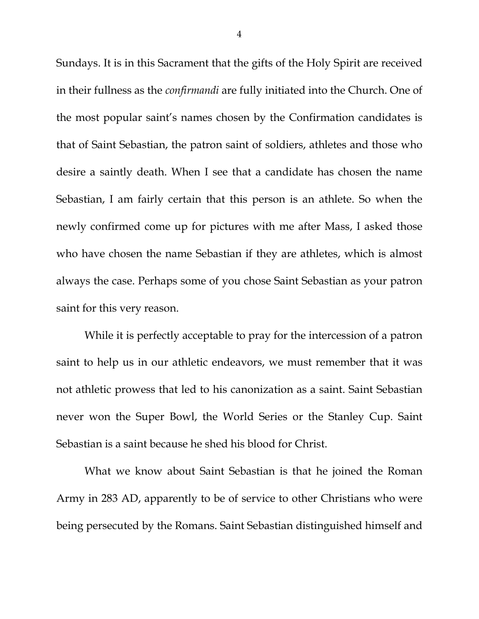Sundays. It is in this Sacrament that the gifts of the Holy Spirit are received in their fullness as the *confirmandi* are fully initiated into the Church. One of the most popular saint's names chosen by the Confirmation candidates is that of Saint Sebastian, the patron saint of soldiers, athletes and those who desire a saintly death. When I see that a candidate has chosen the name Sebastian, I am fairly certain that this person is an athlete. So when the newly confirmed come up for pictures with me after Mass, I asked those who have chosen the name Sebastian if they are athletes, which is almost always the case. Perhaps some of you chose Saint Sebastian as your patron saint for this very reason.

While it is perfectly acceptable to pray for the intercession of a patron saint to help us in our athletic endeavors, we must remember that it was not athletic prowess that led to his canonization as a saint. Saint Sebastian never won the Super Bowl, the World Series or the Stanley Cup. Saint Sebastian is a saint because he shed his blood for Christ.

What we know about Saint Sebastian is that he joined the Roman Army in 283 AD, apparently to be of service to other Christians who were being persecuted by the Romans. Saint Sebastian distinguished himself and

4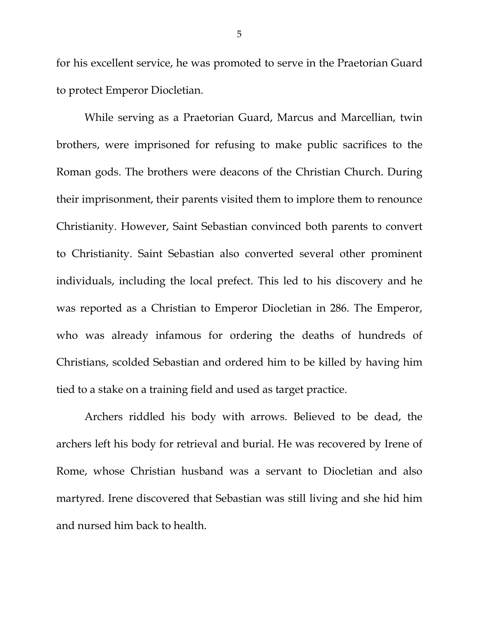for his excellent service, he was promoted to serve in the Praetorian Guard to protect Emperor Diocletian.

While serving as a Praetorian Guard, Marcus and Marcellian, twin brothers, were imprisoned for refusing to make public sacrifices to the Roman gods. The brothers were deacons of the Christian Church. During their imprisonment, their parents visited them to implore them to renounce Christianity. However, Saint Sebastian convinced both parents to convert to Christianity. Saint Sebastian also converted several other prominent individuals, including the local prefect. This led to his discovery and he was reported as a Christian to Emperor Diocletian in 286. The Emperor, who was already infamous for ordering the deaths of hundreds of Christians, scolded Sebastian and ordered him to be killed by having him tied to a stake on a training field and used as target practice.

Archers riddled his body with arrows. Believed to be dead, the archers left his body for retrieval and burial. He was recovered by Irene of Rome, whose Christian husband was a servant to Diocletian and also martyred. Irene discovered that Sebastian was still living and she hid him and nursed him back to health.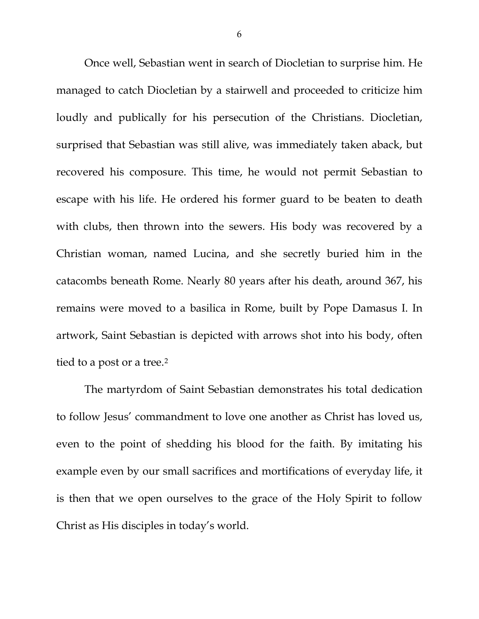Once well, Sebastian went in search of Diocletian to surprise him. He managed to catch Diocletian by a stairwell and proceeded to criticize him loudly and publically for his persecution of the Christians. Diocletian, surprised that Sebastian was still alive, was immediately taken aback, but recovered his composure. This time, he would not permit Sebastian to escape with his life. He ordered his former guard to be beaten to death with clubs, then thrown into the sewers. His body was recovered by a Christian woman, named Lucina, and she secretly buried him in the catacombs beneath Rome. Nearly 80 years after his death, around 367, his remains were moved to a basilica in Rome, built by Pope Damasus I. In artwork, Saint Sebastian is depicted with arrows shot into his body, often tied to a post or a tree.<sup>[2](#page-8-1)</sup>

The martyrdom of Saint Sebastian demonstrates his total dedication to follow Jesus' commandment to love one another as Christ has loved us, even to the point of shedding his blood for the faith. By imitating his example even by our small sacrifices and mortifications of everyday life, it is then that we open ourselves to the grace of the Holy Spirit to follow Christ as His disciples in today's world.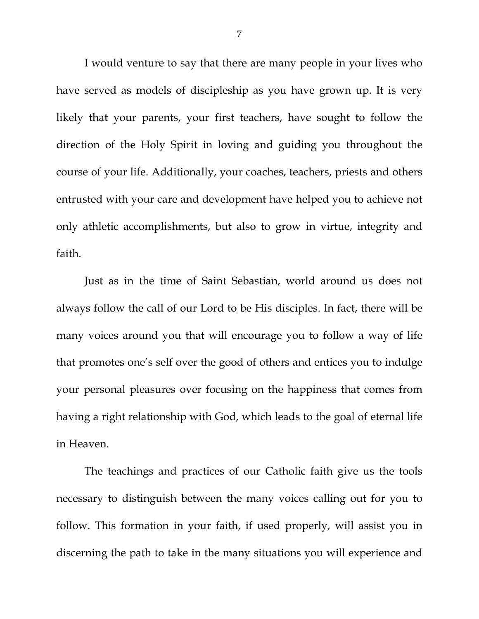I would venture to say that there are many people in your lives who have served as models of discipleship as you have grown up. It is very likely that your parents, your first teachers, have sought to follow the direction of the Holy Spirit in loving and guiding you throughout the course of your life. Additionally, your coaches, teachers, priests and others entrusted with your care and development have helped you to achieve not only athletic accomplishments, but also to grow in virtue, integrity and faith.

Just as in the time of Saint Sebastian, world around us does not always follow the call of our Lord to be His disciples. In fact, there will be many voices around you that will encourage you to follow a way of life that promotes one's self over the good of others and entices you to indulge your personal pleasures over focusing on the happiness that comes from having a right relationship with God, which leads to the goal of eternal life in Heaven.

The teachings and practices of our Catholic faith give us the tools necessary to distinguish between the many voices calling out for you to follow. This formation in your faith, if used properly, will assist you in discerning the path to take in the many situations you will experience and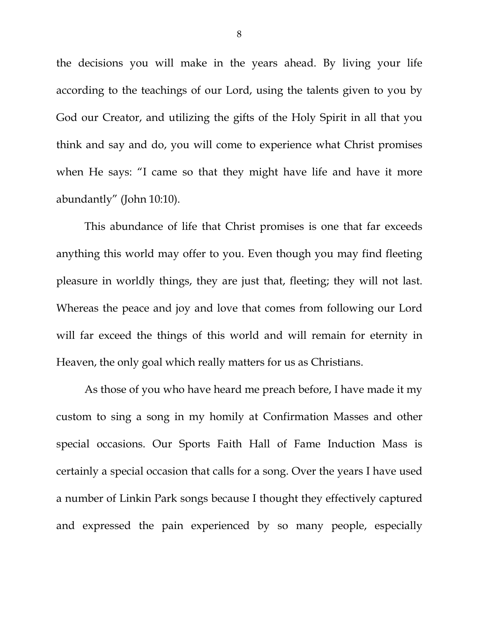the decisions you will make in the years ahead. By living your life according to the teachings of our Lord, using the talents given to you by God our Creator, and utilizing the gifts of the Holy Spirit in all that you think and say and do, you will come to experience what Christ promises when He says: "I came so that they might have life and have it more abundantly" (John 10:10).

This abundance of life that Christ promises is one that far exceeds anything this world may offer to you. Even though you may find fleeting pleasure in worldly things, they are just that, fleeting; they will not last. Whereas the peace and joy and love that comes from following our Lord will far exceed the things of this world and will remain for eternity in Heaven, the only goal which really matters for us as Christians.

As those of you who have heard me preach before, I have made it my custom to sing a song in my homily at Confirmation Masses and other special occasions. Our Sports Faith Hall of Fame Induction Mass is certainly a special occasion that calls for a song. Over the years I have used a number of Linkin Park songs because I thought they effectively captured and expressed the pain experienced by so many people, especially